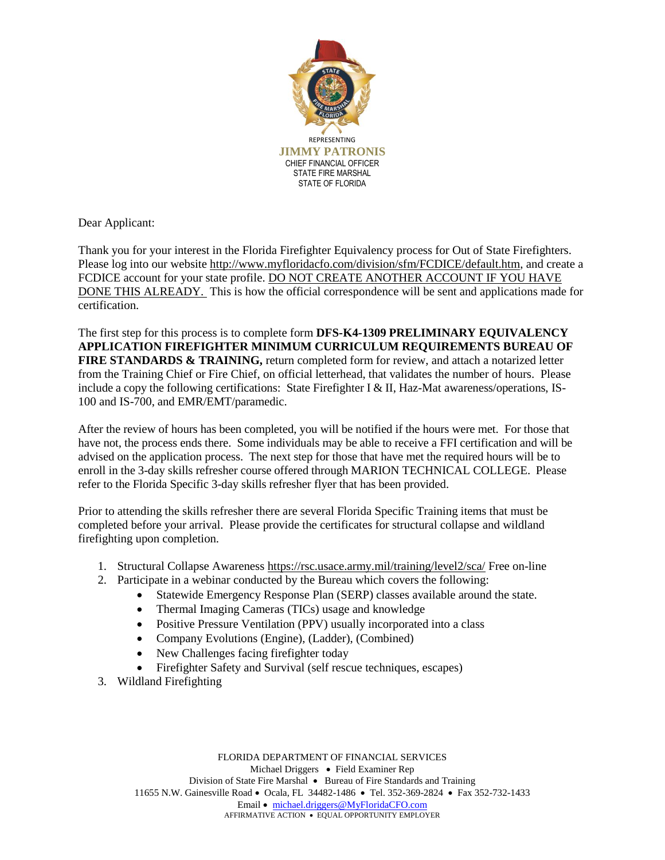

Dear Applicant:

Thank you for your interest in the Florida Firefighter Equivalency process for Out of State Firefighters. Please log into our website [http://www.myfloridacfo.com/division/sfm/FCDICE/default.htm,](http://www.myfloridacfo.com/division/sfm/FCDICE/default.htm) and create a FCDICE account for your state profile. DO NOT CREATE ANOTHER ACCOUNT IF YOU HAVE DONE THIS ALREADY. This is how the official correspondence will be sent and applications made for certification.

The first step for this process is to complete form **DFS-K4-1309 PRELIMINARY EQUIVALENCY APPLICATION FIREFIGHTER MINIMUM CURRICULUM REQUIREMENTS BUREAU OF FIRE STANDARDS & TRAINING,** return completed form for review, and attach a notarized letter from the Training Chief or Fire Chief, on official letterhead, that validates the number of hours. Please include a copy the following certifications: State Firefighter I & II, Haz-Mat awareness/operations, IS-100 and IS-700, and EMR/EMT/paramedic.

After the review of hours has been completed, you will be notified if the hours were met. For those that have not, the process ends there. Some individuals may be able to receive a FFI certification and will be advised on the application process. The next step for those that have met the required hours will be to enroll in the 3-day skills refresher course offered through MARION TECHNICAL COLLEGE. Please refer to the Florida Specific 3-day skills refresher flyer that has been provided.

Prior to attending the skills refresher there are several Florida Specific Training items that must be completed before your arrival. Please provide the certificates for structural collapse and wildland firefighting upon completion.

- 1. Structural Collapse Awareness<https://rsc.usace.army.mil/training/level2/sca/> Free on-line
- 2. Participate in a webinar conducted by the Bureau which covers the following:
	- Statewide Emergency Response Plan (SERP) classes available around the state.
	- Thermal Imaging Cameras (TICs) usage and knowledge
	- Positive Pressure Ventilation (PPV) usually incorporated into a class
	- Company Evolutions (Engine), (Ladder), (Combined)
	- New Challenges facing firefighter today
	- Firefighter Safety and Survival (self rescue techniques, escapes)
- 3. Wildland Firefighting